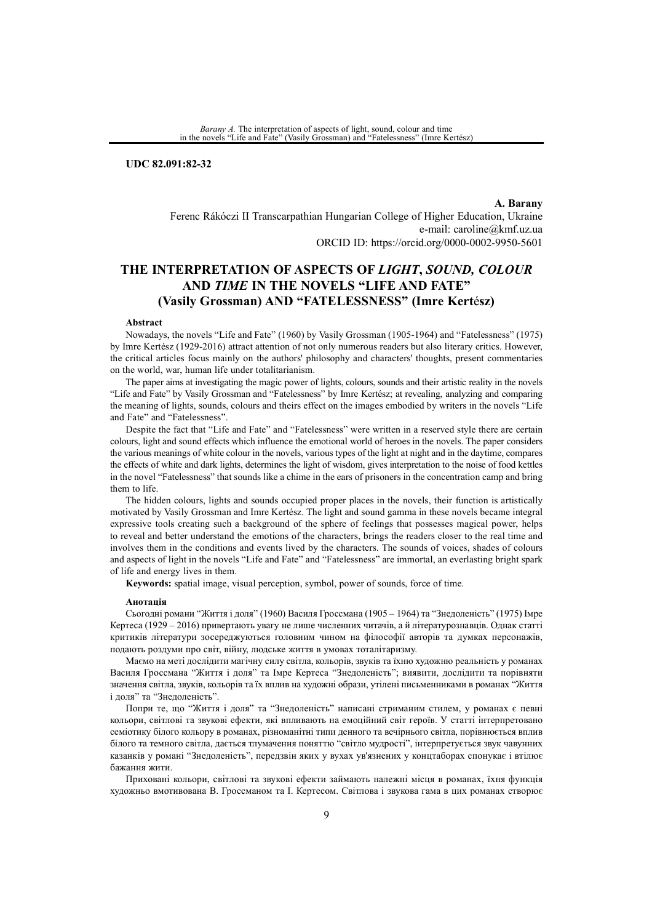*Barany A.* The interpretation of aspects of light, sound, colour and time in the novels "Life and Fate" (Vasily Grossman) and "Fatelessness" (Imre Kertész)

**UDC 82.091:82-32**

**A. Barany** Ferenc Rákóczi II Transcarpathian Hungarian College of Higher Education, Ukraine e-mail: caroline@kmf.uz.ua ORCID ID: https://orcid.org/0000-0002-9950-5601

# **THE INTERPRETATION OF ASPECTS OF** *LIGHT***,** *SOUND, COLOUR* **AND** *TIME* **IN THE NOVELS "LIFE AND FATE" (Vasily Grossman) AND "FATELESSNESS" (Imre Kert**é**sz)**

#### **Abstract**

Nowadays, the novels "Life and Fate" (1960) by Vasily Grossman (1905-1964) and "Fatelessness" (1975) by Imre Kertész (1929-2016) attract attention of not only numerous readers but also literary critics. However, the critical articles focus mainly on the authors' philosophy and characters' thoughts, present commentaries on the world, war, human life under totalitarianism.

The paper aims at investigating the magic power of lights, colours, sounds and their artistic reality in the novels "Life and Fate" by Vasily Grossman and "Fatelessness" by Imre Kertész; at revealing, analyzing and comparing the meaning of lights, sounds, colours and theirs effect on the images embodied by writers in the novels "Life and Fate" and "Fatelessness".

Despite the fact that "Life and Fate" and "Fatelessness" were written in a reserved style there are certain colours, light and sound effects which influence the emotional world of heroes in the novels. The paper considers the various meanings of white colour in the novels, various types of the light at night and in the daytime, compares the effects of white and dark lights, determines the light of wisdom, gives interpretation to the noise of food kettles in the novel "Fatelessness" that sounds like a chime in the ears of prisoners in the concentration camp and bring them to life.

The hidden colours, lights and sounds occupied proper places in the novels, their function is artistically motivated by Vasily Grossman and Imre Kertész. The light and sound gamma in these novels became integral expressive tools creating such a background of the sphere of feelings that possesses magical power, helps to reveal and better understand the emotions of the characters, brings the readers closer to the real time and involves them in the conditions and events lived by the characters. The sounds of voices, shades of colours and aspects of light in the novels "Life and Fate" and "Fatelessness" are immortal, an everlasting bright spark of life and energy lives in them.

**Keywords:** spatial image, visual perception, symbol, power of sounds, force of time.

#### **Анотація**

Сьогодні романи "Життя і доля" (1960) Василя Гроссмана (1905 – 1964) та "Знедоленість" (1975) Імре Кертеса (1929 – 2016) привертають увагу не лише численних читачів, а й літературознавців. Однак статті критиків літератури зосереджуються головним чином на філософії авторів та думках персонажів, подають роздуми про світ, війну, людське життя в умовах тоталітаризму.

Маємо на меті дослідити магічну силу світла, кольорів, звуків та їхню художню реальність у романах Василя Гроссмана "Життя і доля" та Імре Кертеса "Знедоленість"; виявити, дослідити та порівняти значення світла, звуків, кольорів та їх вплив на художні образи, утілені письменниками в романах "Життя і доля" та "Знедоленість".

Попри те, що "Життя і доля" та "Знедоленість" написані стриманим стилем, у романах є певні кольори, світлові та звукові ефекти, які впливають на емоційний світ героїв. У статті інтерпретовано семіотику білого кольору в романах, різноманітні типи денного та вечірнього світла, порівнюється вплив білого та темного світла, дається тлумачення поняттю "світло мудрості", інтерпретується звук чавунних казанків у романі "Знедоленість", передзвін яких у вухах ув'язнених у концтаборах спонукає і втілює бажання жити.

Приховані кольори, світлові та звукові ефекти займають належні місця в романах, їхня функція художньо вмотивована В. Гроссманом та І. Кертесом. Світлова і звукова гама в цих романах створює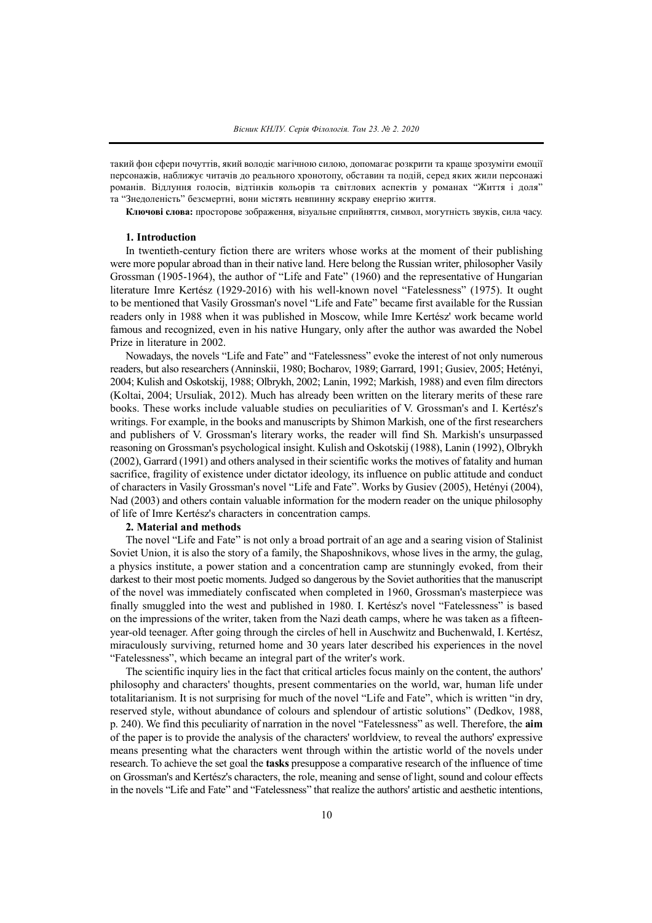такий фон сфери почуттів, який володіє магічною силою, допомагає розкрити та краще зрозуміти емоції персонажів, наближує читачів до реального хронотопу, обставин та подій, серед яких жили персонажі романів. Відлуння голосів, відтінків кольорів та світлових аспектів у романах "Життя і доля" та "Знедоленість" безсмертні, вони містять невпинну яскраву енергію життя.

**Ключові слова:** просторове зображення, візуальне сприйняття, символ, могутність звуків, сила часу.

#### **1. Introduction**

In twentieth-century fiction there are writers whose works at the moment of their publishing were more popular abroad than in their native land. Here belong the Russian writer, philosopher Vasily Grossman (1905-1964), the author of "Life and Fate" (1960) and the representative of Hungarian literature Imre Kertész (1929-2016) with his well-known novel "Fatelessness" (1975). It ought to be mentioned that Vasily Grossman's novel "Life and Fate" became first available for the Russian readers only in 1988 when it was published in Moscow, while Imre Kertész' work became world famous and recognized, even in his native Hungary, only after the author was awarded the Nobel Prize in literature in 2002.

Nowadays, the novels "Life and Fate" and "Fatelessness" evoke the interest of not only numerous readers, but also researchers (Anninskii, 1980; Bocharov, 1989; Garrard, 1991; Gusiev, 2005; Hetényi, 2004; Kulish and Oskotskij, 1988; Olbrykh, 2002; Lanin, 1992; Markish, 1988) and even film directors (Koltai, 2004; Ursuliak, 2012). Much has already been written on the literary merits of these rare books. These works include valuable studies on peculiarities of V. Grossman's and I. Kertész's writings. For example, in the books and manuscripts by Shimon Markish, one of the first researchers and publishers of V. Grossman's literary works, the reader will find Sh. Markish's unsurpassed reasoning on Grossman's psychological insight. Kulish and Oskotskij (1988), Lanin (1992), Olbrykh (2002), Garrard (1991) and others analysed in their scientific works the motives of fatality and human sacrifice, fragility of existence under dictator ideology, its influence on public attitude and conduct of characters in Vasily Grossman's novel "Life and Fate". Works by Gusiev (2005), Hetényi (2004), Nad (2003) and others contain valuable information for the modern reader on the unique philosophy of life of Imre Kertész's characters in concentration camps.

#### **2. Material and methods**

The novel "Life and Fate" is not only a broad portrait of an age and a searing vision of Stalinist Soviet Union, it is also the story of a family, the Shaposhnikovs, whose lives in the army, the gulag, a physics institute, a power station and a concentration camp are stunningly evoked, from their darkest to their most poetic moments. Judged so dangerous by the Soviet authorities that the manuscript of the novel was immediately confiscated when completed in 1960, Grossman's masterpiece was finally smuggled into the west and published in 1980. I. Kertész's novel "Fatelessness" is based on the impressions of the writer, taken from the Nazi death camps, where he was taken as a fifteenyear-old teenager. After going through the circles of hell in Auschwitz and Buchenwald, I. Kertész, miraculously surviving, returned home and 30 years later described his experiences in the novel "Fatelessness", which became an integral part of the writer's work.

The scientific inquiry lies in the fact that critical articles focus mainly on the content, the authors' philosophy and characters' thoughts, present commentaries on the world, war, human life under totalitarianism. It is not surprising for much of the novel "Life and Fate", which is written "in dry, reserved style, without abundance of colours and splendour of artistic solutions" (Dedkov, 1988, p. 240). We find this peculiarity of narration in the novel "Fatelessness" as well. Therefore, the **aim** of the paper is to provide the analysis of the characters' worldview, to reveal the authors' expressive means presenting what the characters went through within the artistic world of the novels under research. To achieve the set goal the **tasks** presuppose a comparative research of the influence of time on Grossman's and Kertész's characters, the role, meaning and sense of light, sound and colour effects in the novels "Life and Fate" and "Fatelessness" that realize the authors' artistic and aesthetic intentions,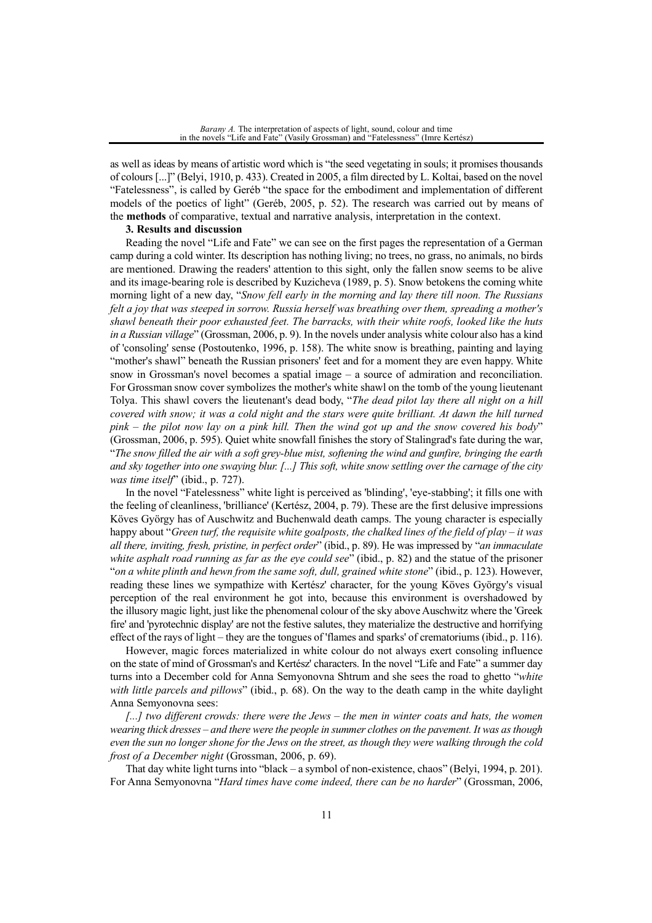as well as ideas by means of artistic word which is "the seed vegetating in souls; it promises thousands of colours [...]" (Belyi, 1910, p. 433). Created in 2005, a film directed by L. Koltai, based on the novel "Fatelessness", is called by Geréb "the space for the embodiment and implementation of different models of the poetics of light" (Geréb, 2005, p. 52). The research was carried out by means of the **methods** of comparative, textual and narrative analysis, interpretation in the context.

#### **3. Results and discussion**

Reading the novel "Life and Fate" we can see on the first pages the representation of a German camp during a cold winter. Its description has nothing living; no trees, no grass, no animals, no birds are mentioned. Drawing the readers' attention to this sight, only the fallen snow seems to be alive and its image-bearing role is described by Kuzicheva (1989, p. 5). Snow betokens the coming white morning light of a new day, "*Snow fell early in the morning and lay there till noon. The Russians felt a joy that was steeped in sorrow. Russia herself was breathing over them, spreading a mother's shawl beneath their poor exhausted feet. The barracks, with their white roofs, looked like the huts in a Russian village*" (Grossman, 2006, p. 9). In the novels under analysis white colour also has a kind of 'consoling' sense (Postoutenko, 1996, p. 158). The white snow is breathing, painting and laying "mother's shawl" beneath the Russian prisoners' feet and for a moment they are even happy. White snow in Grossman's novel becomes a spatial image – a source of admiration and reconciliation. For Grossman snow cover symbolizes the mother's white shawl on the tomb of the young lieutenant Tolya. This shawl covers the lieutenant's dead body, "*The dead pilot lay there all night on a hill* covered with snow; it was a cold night and the stars were quite brilliant. At dawn the hill turned  $pink - the pilot now lav on a pink hill. Then the wind got up and the snow covered his body"$ (Grossman, 2006, p. 595). Quiet white snowfall finishes the story of Stalingrad's fate during the war, "The snow filled the air with a soft grey-blue mist, softening the wind and gunfire, bringing the earth and sky together into one swaying blur. [...] This soft, white snow settling over the carnage of the city *was time itself*" (ibid., p. 727).

In the novel "Fatelessness" white light is perceived as 'blinding', 'eye-stabbing'; it fills one with the feeling of cleanliness, 'brilliance' (Kertész, 2004, p. 79). These are the first delusive impressions Köves György has of Auschwitz and Buchenwald death camps. The young character is especially happy about "*Green turf, the requisite white goalposts, the chalked lines of the field of play – it was all there, inviting, fresh, pristine, in perfect order*" (ibid., p. 89). He was impressed by "*an immaculate white asphalt road running as far as the eye could see*" (ibid., p. 82) and the statue of the prisoner "*on a white plinth and hewn from the same soft, dull, grained white stone*" (ibid., p. 123). However, reading these lines we sympathize with Kertész' character, for the young Köves György's visual perception of the real environment he got into, because this environment is overshadowed by the illusory magic light, just like the phenomenal colour of the sky above Auschwitz where the 'Greek fire' and 'pyrotechnic display' are not the festive salutes, they materialize the destructive and horrifying effect of the rays of light – they are the tongues of 'flames and sparks' of crematoriums (ibid., p. 116).

However, magic forces materialized in white colour do not always exert consoling influence on the state of mind of Grossman's and Kertész' characters. In the novel "Life and Fate" a summer day turns into a December cold for Anna Semyonovna Shtrum and she sees the road to ghetto "*white with little parcels and pillows*" (ibid., p. 68). On the way to the death camp in the white daylight Anna Semyonovna sees:

*[...] two different crowds: there were the Jews – the men in winter coats and hats, the women* wearing thick dresses – and there were the people in summer clothes on the pavement. It was as though even the sun no longer shone for the Jews on the street, as though they were walking through the cold *frost of a December night* (Grossman, 2006, p. 69).

That day white light turns into "black – a symbol of non-existence, chaos" (Belyi, 1994, p. 201). For Anna Semyonovna "*Hard times have come indeed, there can be no harder*" (Grossman, 2006,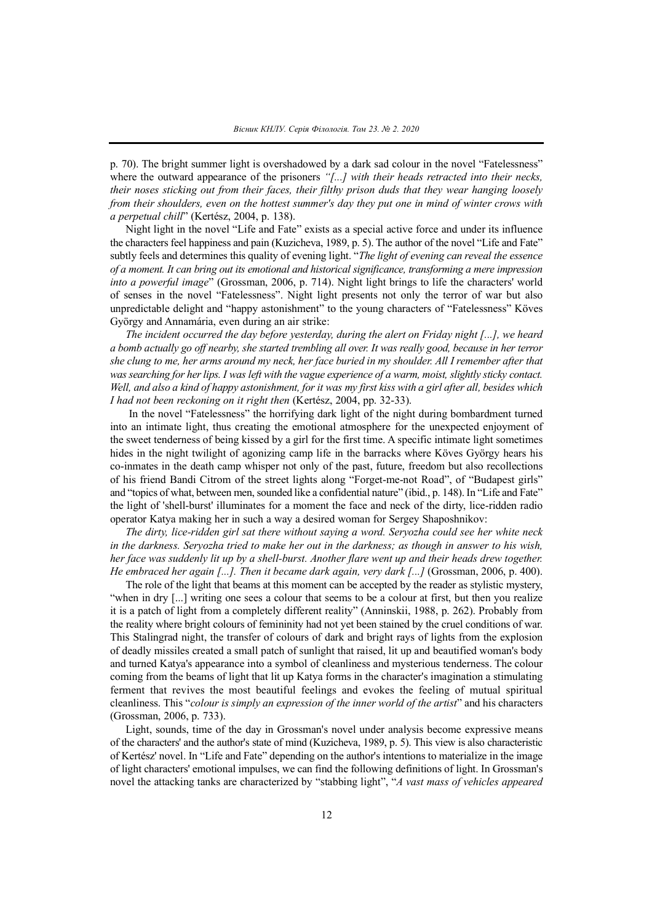p. 70). The bright summer light is overshadowed by a dark sad colour in the novel "Fatelessness" where the outward appearance of the prisoners *"[...] with their heads retracted into their necks, their noses sticking out from their faces, their filthy prison duds that they wear hanging loosely from their shoulders, even on the hottest summer's day they put one in mind of winter crows with a perpetual chill*" (Kertész, 2004, p. 138).

Night light in the novel "Life and Fate" exists as a special active force and under its influence the characters feel happiness and pain (Kuzicheva, 1989, p. 5). The author of the novel "Life and Fate" subtly feels and determines this quality of evening light. "*The light of evening can reveal the essence of a moment. It can bring out its emotional and historical significance, transforming a mere impression into a powerful image*" (Grossman, 2006, p. 714). Night light brings to life the characters' world of senses in the novel "Fatelessness". Night light presents not only the terror of war but also unpredictable delight and "happy astonishment" to the young characters of "Fatelessness" Köves György and Annamária, even during an air strike:

*The incident occurred the day before yesterday, during the alert on Friday night [...], we heard* a bomb actually go off nearby, she started trembling all over. It was really good, because in her terror she clung to me, her arms around my neck, her face buried in my shoulder. All I remember after that *wassearching for herlips. I was left with the vague experience of a warm, moist, slightly sticky contact.* Well, and also a kind of happy astonishment, for it was my first kiss with a girl after all, besides which *I had not been reckoning on it right then* (Kertész, 2004, pp. 32-33).

In the novel "Fatelessness" the horrifying dark light of the night during bombardment turned into an intimate light, thus creating the emotional atmosphere for the unexpected enjoyment of the sweet tenderness of being kissed by a girl for the first time. A specific intimate light sometimes hides in the night twilight of agonizing camp life in the barracks where Köves György hears his co-inmates in the death camp whisper not only of the past, future, freedom but also recollections of his friend Bandi Citrom of the street lights along "Forget-me-not Road", of "Budapest girls" and "topics of what, between men, sounded like a confidential nature" (ibid., p. 148). In "Life and Fate" the light of 'shell-burst' illuminates for a moment the face and neck of the dirty, lice-ridden radio operator Katya making her in such a way a desired woman for Sergey Shaposhnikov:

*The dirty, lice-ridden girl sat there without saying a word. Seryozha could see her white neck* in the darkness. Seryozha tried to make her out in the darkness; as though in answer to his wish, her face was suddenly lit up by a shell-burst. Another flare went up and their heads drew together. *He embraced her again [...]. Then it became dark again, very dark [...]* (Grossman, 2006, p. 400).

The role of the light that beams at this moment can be accepted by the reader as stylistic mystery, "when in dry [...] writing one sees a colour that seems to be a colour at first, but then you realize it is a patch of light from a completely different reality" (Anninskii, 1988, p. 262). Probably from the reality where bright colours of femininity had not yet been stained by the cruel conditions of war. This Stalingrad night, the transfer of colours of dark and bright rays of lights from the explosion of deadly missiles created a small patch of sunlight that raised, lit up and beautified woman's body and turned Katya's appearance into a symbol of cleanliness and mysterious tenderness. The colour coming from the beams of light that lit up Katya forms in the character's imagination a stimulating ferment that revives the most beautiful feelings and evokes the feeling of mutual spiritual cleanliness. This "*colour is simply an expression of the inner world of the artist*" and his characters (Grossman, 2006, p. 733).

Light, sounds, time of the day in Grossman's novel under analysis become expressive means of the characters' and the author's state of mind (Kuzicheva, 1989, p. 5). This view is also characteristic of Kertész' novel. In "Life and Fate" depending on the author's intentions to materialize in the image of light characters' emotional impulses, we can find the following definitions of light. In Grossman's novel the attacking tanks are characterized by "stabbing light", "*A vast mass of vehicles appeared*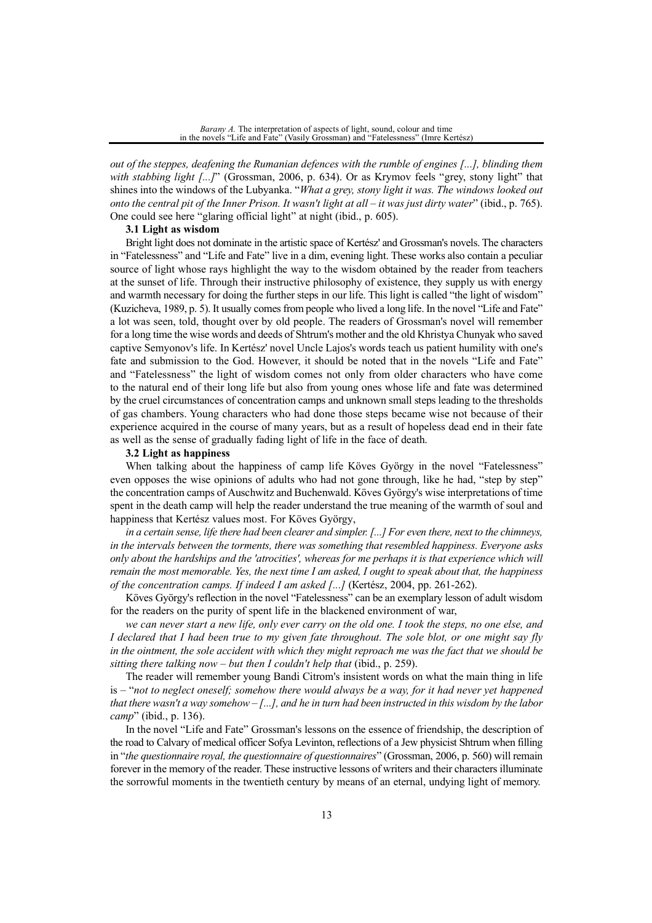*out of the steppes, deafening the Rumanian defences with the rumble of engines [...], blinding them with stabbing light [...]*" (Grossman, 2006, p. 634). Or as Krymov feels "grey, stony light" that shines into the windows of the Lubyanka. "*What a grey, stony light it was. The windows looked out* onto the central pit of the Inner Prison. It wasn't light at all  $-i$  t was just dirty water" (ibid., p. 765). One could see here "glaring official light" at night (ibid., p. 605).

#### **3.1 Light as wisdom**

Bright light does not dominate in the artistic space of Kertész' and Grossman's novels. The characters in "Fatelessness" and "Life and Fate" live in a dim, evening light. These works also contain a peculiar source of light whose rays highlight the way to the wisdom obtained by the reader from teachers at the sunset of life. Through their instructive philosophy of existence, they supply us with energy and warmth necessary for doing the further steps in our life. This light is called "the light of wisdom" (Kuzicheva, 1989, p. 5). It usually comes from people who lived a long life. In the novel "Life and Fate" a lot was seen, told, thought over by old people. The readers of Grossman's novel will remember for a long time the wise words and deeds of Shtrum's mother and the old Khristya Chunyak who saved captive Semyonov's life. In Kertész' novel Uncle Lajos's words teach us patient humility with one's fate and submission to the God. However, it should be noted that in the novels "Life and Fate" and "Fatelessness" the light of wisdom comes not only from older characters who have come to the natural end of their long life but also from young ones whose life and fate was determined by the cruel circumstances of concentration camps and unknown small steps leading to the thresholds of gas chambers. Young characters who had done those steps became wise not because of their experience acquired in the course of many years, but as a result of hopeless dead end in their fate as well as the sense of gradually fading light of life in the face of death.

### **3.2 Light as happiness**

When talking about the happiness of camp life Köves György in the novel "Fatelessness" even opposes the wise opinions of adults who had not gone through, like he had, "step by step" the concentration camps of Auschwitz and Buchenwald. Köves György's wise interpretations of time spent in the death camp will help the reader understand the true meaning of the warmth of soul and happiness that Kertész values most. For Köves György,

in a certain sense, life there had been clearer and simpler. [...] For even there, next to the chimneys, *in the intervals between the torments, there was something that resembled happiness. Everyone asks only about the hardships and the 'atrocities', whereas for me perhaps it is that experience which will* remain the most memorable. Yes, the next time I am asked, I ought to speak about that, the happiness *of the concentration camps. If indeed I am asked [...]* (Кеrtész, 2004, pp. 261-262).

Köves György's reflection in the novel "Fatelessness" can be an exemplary lesson of adult wisdom for the readers on the purity of spent life in the blackened environment of war,

we can never start a new life, only ever carry on the old one. I took the steps, no one else, and I declared that I had been true to my given fate throughout. The sole blot, or one might say fly in the ointment, the sole accident with which they might reproach me was the fact that we should be *sitting there talking now – but then I couldn't help that* (ibid., p. 259).

The reader will remember young Bandi Citrom's insistent words on what the main thing in life is – "*not to neglect oneself; somehow there would always be a way, for it had never yet happened* that there wasn't a way somehow  $[-, .]$ , and he in turn had been instructed in this wisdom by the labor *camp*" (ibid., p. 136).

In the novel "Life and Fate" Grossman's lessons on the essence of friendship, the description of the road to Calvary of medical officer Sofya Levinton, reflections of a Jew physicist Shtrum when filling in "*the questionnaire royal, the questionnaire of questionnaires*" (Grossman, 2006, p. 560) will remain forever in the memory of the reader. These instructive lessons of writers and their characters illuminate the sorrowful moments in the twentieth century by means of an eternal, undying light of memory.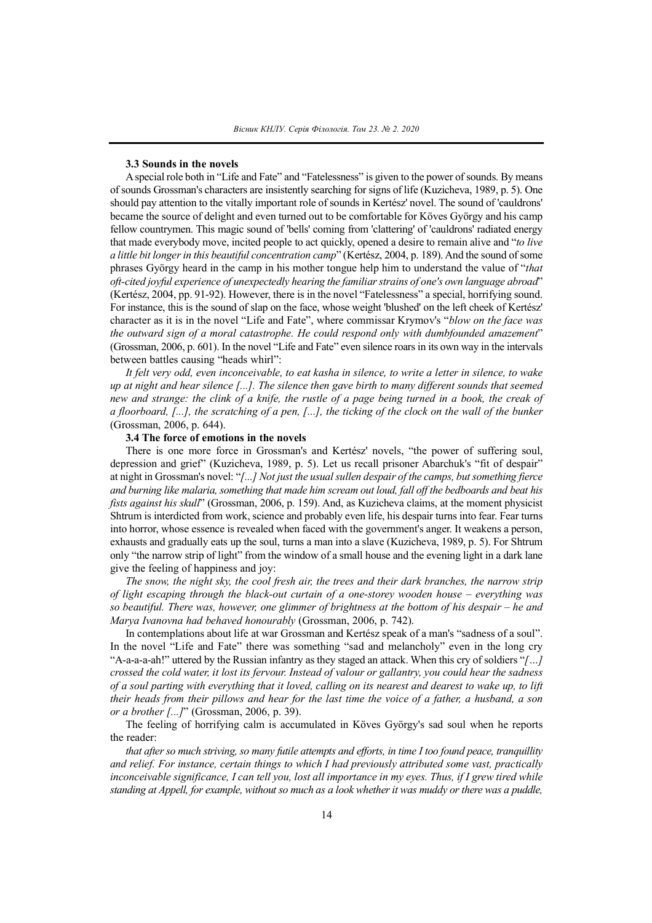## **3.3 Sounds in the novels**

Aspecial role both in "Life and Fate" and "Fatelessness" is given to the power ofsounds. By means ofsounds Grossman's characters are insistently searching for signs of life (Kuzicheva, 1989, p. 5). One should pay attention to the vitally important role of sounds in Kertész' novel. The sound of 'cauldrons' became the source of delight and even turned out to be comfortable for Köves György and his camp fellow countrymen. This magic sound of 'bells' coming from 'clattering' of 'cauldrons' radiated energy that made everybody move, incited people to act quickly, opened a desire to remain alive and "*to live a little bit longerin this beautiful concentration camp*" (Kertész, 2004, p. 189). And the sound ofsome phrases György heard in the camp in his mother tongue help him to understand the value of "*that oft-cited joyful experience of unexpectedly hearing the familiarstrains of one's own language abroad*" (Kertész, 2004, pp. 91-92)*.* However, there is in the novel "Fatelessness" a special, horrifying sound. For instance, this is the sound of slap on the face, whose weight 'blushed' on the left cheek of Kertész' character as it is in the novel "Life and Fate", where commissar Krymov's "*blow on the face was the outward sign of a moral catastrophe. He could respond only with dumbfounded amazement*" (Grossman, 2006, p. 601). In the novel "Life and Fate" even silence roars in its own way in the intervals between battles causing "heads whirl":

It felt very odd, even inconceivable, to eat kasha in silence, to write a letter in silence, to wake up at night and hear silence  $[...]$ . The silence then gave birth to many different sounds that seemed new and strange: the clink of a knife, the rustle of a page being turned in a book, the creak of a floorboard, [...], the scratching of a pen, [...], the ticking of the clock on the wall of the bunker (Grossman, 2006, p. 644).

### **3.4 The force of emotions in the novels**

There is one more force in Grossman's and Kertész' novels, "the power of suffering soul, depression and grief" (Kuzicheva, 1989, p. 5). Let us recall prisoner Abarchuk's "fit of despair" at night in Grossman's novel: "*[...] Not just the usual sullen despair of the camps, but something fierce* and burning like malaria, something that made him scream out loud, fall off the bedboards and beat his *fists against his skull*" (Grossman, 2006, p. 159). And, as Kuzicheva claims, at the moment physicist Shtrum is interdicted from work, science and probably even life, his despair turns into fear. Fear turns into horror, whose essence is revealed when faced with the government's anger. It weakens a person, exhausts and gradually eats up the soul, turns a man into a slave (Kuzicheva, 1989, p. 5). For Shtrum only "the narrow strip of light" from the window of a small house and the evening light in a dark lane give the feeling of happiness and joy:

*The snow, the night sky, the cool fresh air, the trees and their dark branches, the narrow strip of light escaping through the black-out curtain of a one-storey wooden house – everything was so beautiful. There was, however, one glimmer of brightness at the bottom of his despair – he and Marya Ivanovna had behaved honourably* (Grossman, 2006, p. 742).

In contemplations about life at war Grossman and Kertész speak of a man's "sadness of a soul". In the novel "Life and Fate" there was something "sad and melancholy" even in the long cry "A-a-a-a-ah!" uttered by the Russian infantry as they staged an attack. When this cry of soldiers "*[…]* crossed the cold water, it lost its fervour. Instead of valour or gallantry, you could hear the sadness of a soul parting with everything that it loved, calling on its nearest and dearest to wake up, to lift their heads from their pillows and hear for the last time the voice of a father, a husband, a son *or a brother [...]*" (Grossman, 2006, p. 39).

The feeling of horrifying calm is accumulated in Köves György's sad soul when he reports the reader:

that after so much striving, so many futile attempts and efforts, in time I too found peace, tranquillity *and relief. For instance, certain things to which I had previously attributed some vast, practically* inconceivable significance, I can tell you, lost all importance in my eyes. Thus, if I grew tired while standing at Appell, for example, without so much as a look whether it was muddy or there was a puddle,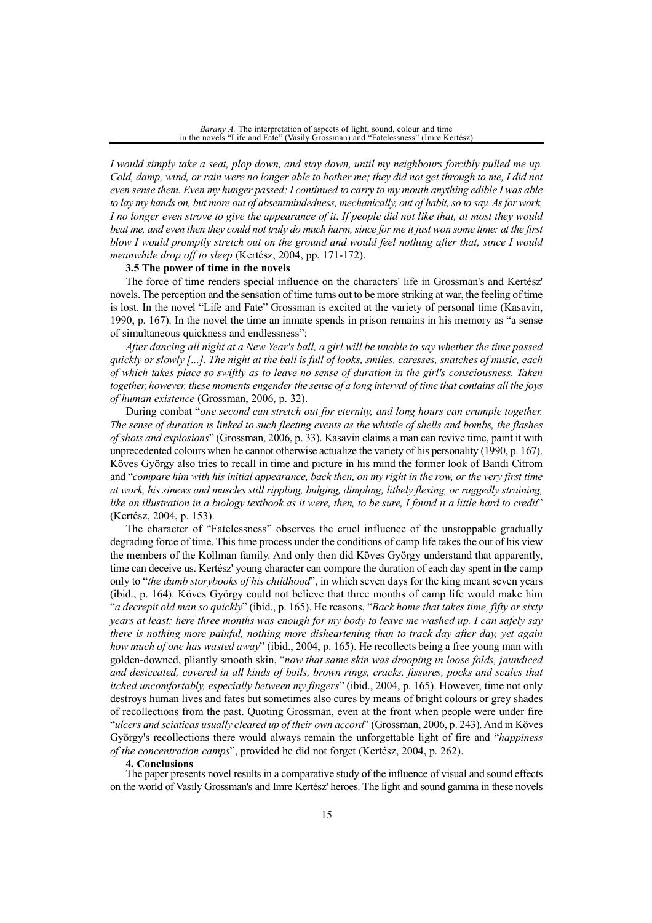*I would simply take a seat, plop down, and stay down, until my neighbours forcibly pulled me up.* Cold, damp, wind, or rain were no longer able to bother me; they did not get through to me, I did not even sense them. Even my hunger passed; I continued to carry to my mouth anything edible I was able to lay my hands on, but more out of absentmindedness, mechanically, out of habit, so to say. As for work, I no longer even strove to give the appearance of it. If people did not like that, at most they would beat me, and even then they could not truly do much harm, since for me it just won some time: at the first *blow I would promptly stretch out on the ground and would feel nothing after that, since I would meanwhile drop off to sleep* (Kertész, 2004, pp. 171-172).

## **3.5 The power of time in the novels**

The force of time renders special influence on the characters' life in Grossman's and Kertész' novels. The perception and the sensation of time turns out to be more striking at war, the feeling of time is lost. In the novel "Life and Fate" Grossman is excited at the variety of personal time (Kasavin, 1990, p. 167). In the novel the time an inmate spends in prison remains in his memory as "a sense of simultaneous quickness and endlessness":

After dancing all night at a New Year's ball, a girl will be unable to say whether the time passed quickly or slowly [...]. The night at the ball is full of looks, smiles, caresses, snatches of music, each of which takes place so swiftly as to leave no sense of duration in the girl's consciousness. Taken together, however, these moments engender the sense of a long interval of time that contains all the joys *of human existence* (Grossman, 2006, p. 32).

During combat "*one second can stretch out for eternity, and long hours can crumple together.* The sense of duration is linked to such fleeting events as the whistle of shells and bombs, the flashes *of shots and explosions*" (Grossman, 2006, p. 33). Kasavin claims a man can revive time, paint it with unprecedented colours when he cannot otherwise actualize the variety of his personality (1990, p. 167). Köves György also tries to recall in time and picture in his mind the former look of Bandi Citrom and "compare him with his initial appearance, back then, on my right in the row, or the very first time *at work, his sinews and muscles still rippling, bulging, dimpling, lithely flexing, or ruggedly straining,* like an illustration in a biology textbook as it were, then, to be sure, I found it a little hard to credit" (Kertész, 2004, p. 153).

The character of "Fatelessness" observes the cruel influence of the unstoppable gradually degrading force of time. This time process under the conditions of camp life takes the out of his view the members of the Kollman family. And only then did Köves György understand that apparently, time can deceive us. Kertész' young character can compare the duration of each day spent in the camp only to "*the dumb storybooks of his childhood*", in which seven days for the king meant seven years (ibid., p. 164). Köves György could not believe that three months of camp life would make him "*a decrepit old man so quickly*" (ibid., p. 165). He reasons, "*Back home that takes time, fifty or sixty* years at least; here three months was enough for my body to leave me washed up. I can safely say *there is nothing more painful, nothing more disheartening than to track day after day, yet again how much of one has wasted away*" (ibid., 2004, p. 165). He recollects being a free young man with golden-downed, pliantly smooth skin, "*now that same skin was drooping in loose folds, jaundiced and desiccated, covered in all kinds of boils, brown rings, cracks, fissures, pocks and scales that itched uncomfortably, especially between my fingers*" (ibid., 2004, p. 165). However, time not only destroys human lives and fates but sometimes also cures by means of bright colours or grey shades of recollections from the past. Quoting Grossman, even at the front when people were under fire "*ulcers and sciaticas usually cleared up of their own accord*" (Grossman, 2006, p. 243).And in Köves György's recollections there would always remain the unforgettable light of fire and "*happiness of the concentration camps*", provided he did not forget (Kertész, 2004, p. 262).

# **4. Conclusions**

The paper presents novel results in a comparative study of the influence of visual and sound effects on the world of Vasily Grossman's and Imre Kertész' heroes. The light and sound gamma in these novels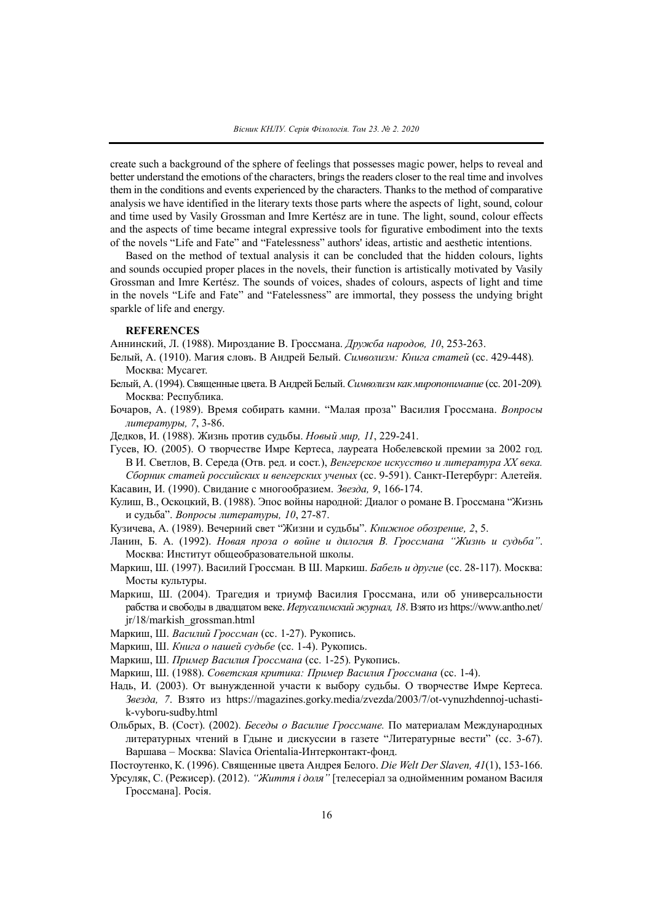create such a background of the sphere of feelings that possesses magic power, helps to reveal and better understand the emotions of the characters, brings the readers closer to the real time and involves them in the conditions and events experienced by the characters. Thanks to the method of comparative analysis we have identified in the literary texts those parts where the aspects of light, sound, colour and time used by Vasily Grossman and Imre Kertész are in tune. The light, sound, colour effects and the aspects of time became integral expressive tools for figurative embodiment into the texts of the novels "Life and Fate" and "Fatelessness" authors' ideas, artistic and aesthetic intentions.

Based on the method of textual analysis it can be concluded that the hidden colours, lights and sounds occupied proper places in the novels, their function is artistically motivated by Vasily Grossman and Imre Kertész. The sounds of voices, shades of colours, aspects of light and time in the novels "Life and Fate" and "Fatelessness" are immortal, they possess the undying bright sparkle of life and energy.

# **REFERENCES**

Аннинский, Л. (1988). Мироздание В. Гроссмана. *Дружба народов, 10*, 253-263.

- Белый, А. (1910). Магия словъ. В Андрей Белый. *Символизм: Книга статей* (cc. 429-448)*.* Москва: Мусагет.
- Белый, А. (1994). Священные цвета.В Андрей Белый.*Символизм какмиропонимание* (cc. 201-209)*.* Москва: Республикa.
- Бочаров, А. (1989). Время собирать камни. "Малая проза" Василия Гроссмана. *Вопросы литературы, 7*, 3-86.

Дедков, И. (1988). Жизнь против судьбы. *Новый мир, 11*, 229-241.

Гусев, Ю. (2005). О творчестве Имре Кертеса, лауреата Нобелевской премии за 2002 год. В И. Светлов, В. Середа (Отв. ред. и сост.), *Венгерское искусство и литература ХХ века. Сборник статей российских и венгерских ученых* (сс. 9-591). Санкт-Петербург: Алетейя. Касавин, И. (1990). Свидание с многообразием. *Звезда, 9*, 166-174.

Кулиш, В., Оскоцкий, В. (1988). Эпос войны народной: Диалог о романе В. Гроссмана "Жизнь и судьба". *Вопросы литературы, 10*, 27-87.

Кузичева, А. (1989). Вечерний свет "Жизни и судьбы". *Книжное обозрение, 2*, 5.

- Ланин, Б. А. (1992). *Новая проза о войне и дилогия В. Гроссмана "Жизнь и судьба"*. Москва: Институт общеобразовательной школы.
- Маркиш, Ш. (1997). Василий Гроссман*.* В Ш. Маркиш. *Бабель и другие* (cc. 28-117). Москва: Мосты культуры.
- Маркиш, Ш. (2004). Трагедия и триумф Василия Гроссмана, или об универсальности рабства и свободы в двадцатом веке. *Иерусалимский журнал, 18*. Взято из https://www.antho.net/ jr/18/markish\_grossman.html
- Маркиш, Ш. *Василий Гроссман* (cс. 1-27). Рукопись.

Маркиш, Ш. *Книга о нашей судьбе* (cc. 1-4). Рукопись.

Маркиш, Ш. *Пример Василия Гроссмана* (cc. 1-25). Рукопись.

- Маркиш, Ш. (1988). *Советская критика: Пример Василия Гроссмана* (cс. 1-4).
- Надь, И. (2003). От вынужденной участи к выбору судьбы. О творчестве Имре Кертеса. *Звезда, 7*. Взято из https://magazines.gorky.media/zvezda/2003/7/ot-vynuzhdennoj-uchastik-vyboru-sudby.html
- Ольбрых, В. (Сост). (2002). *Беседы о Василиe Гроссмане.* По материалам Международных литературных чтений в Гдыне и дискуссии в газете "Литературные вести" (сc. 3-67). Варшава – Москва: Slavica Orientalia-Интерконтакт-фонд.
- Постоутенко, К. (1996). Священные цвета Андрея Белого. *Die Welt Der Slaven, 41*(1), 153-166.
- Урсуляк, С. (Режисер). (2012). *"Життя і доля"* [телесеріал за однойменним романом Василя Гроссмана]. Росія.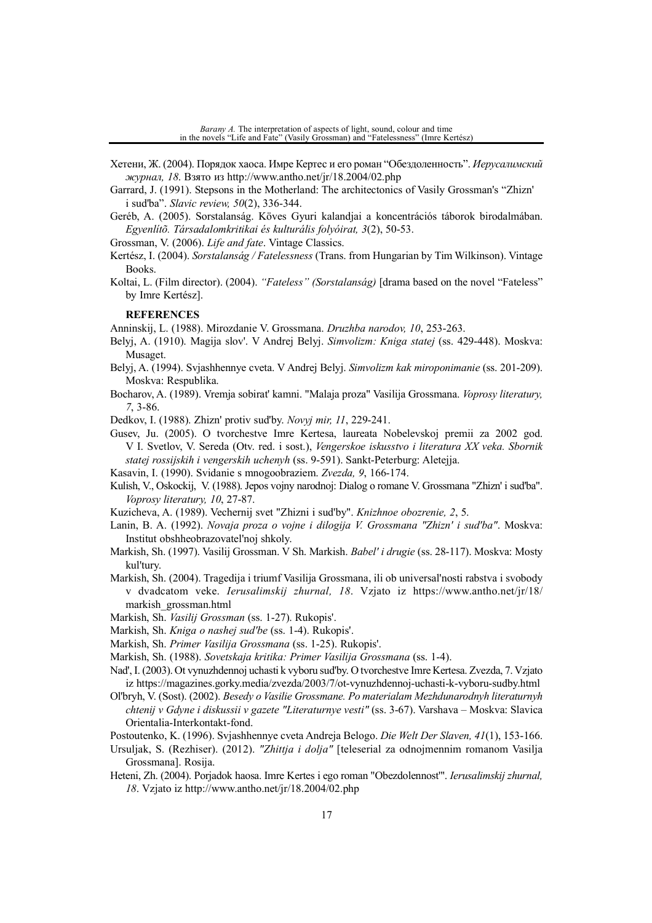- Хетени, Ж. (2004). Порядок хаоса. Имре Кертес и его роман "Обездоленность". *Иерусалимский журнал, 18*. Взято из http://www.antho.net/jr/18.2004/02.php
- Garrard, J. (1991). Stepsons in the Motherland: The architectonics of Vasily Grossman's "Zhizn' i sud'ba". *Slavic review, 50*(2), 336-344.
- Geréb, A. (2005). Sorstalanság. Köves Gyuri kalandjai a koncentrációs táborok birodalmában. *Egyenlítõ. Társadalomkritikai és kulturális folyóirat, 3*(2), 50-53.

Grossman, V. (2006). *Life and fate*. Vintage Classics.

- Kertész, I. (2004). *Sorstalanság / Fatelessness* (Trans. from Hungarian by Tim Wilkinson). Vintage Books.
- Koltai, L. (Film director). (2004). *"Fateless" (Sorstalanság)* [drama based on the novel "Fateless" by Imre Kertész].

#### **REFERENCES**

Anninskij, L. (1988). Mirozdanie V. Grossmana. *Druzhba narodov, 10*, 253-263.

- Belyj, A. (1910). Magija slov'. V Andrej Belyj. *Simvolizm: Kniga statej* (ss. 429-448). Moskva: Musaget.
- Belyj, A. (1994). Svjashhennye cveta. V Andrej Belyj. *Simvolizm kak miroponimanie* (ss. 201-209). Moskva: Respublika.
- Bocharov, A. (1989). Vremja sobirat' kamni. "Malaja proza" Vasilija Grossmana. *Voprosy literatury, 7*, 3-86.

Dedkov, I. (1988). Zhizn' protiv sud'by. *Novyj mir, 11*, 229-241.

Gusev, Ju. (2005). O tvorchestve Imre Kertesa, laureata Nobelevskoj premii za 2002 god. V I. Svetlov, V. Sereda (Otv. red. i sost.), *Vengerskoe iskusstvo i literatura XX veka. Sbornik statej rossijskih i vengerskih uchenyh* (ss. 9-591). Sankt-Peterburg: Aletejja.

Kasavin, I. (1990). Svidanie s mnogoobraziem. *Zvezda, 9*, 166-174.

- Kulish, V., Oskockij, V. (1988). Jepos vojny narodnoj: Dialog o romane V. Grossmana "Zhizn' i sud'ba". *Voprosy literatury, 10*, 27-87.
- Kuzicheva, A. (1989). Vechernij svet "Zhizni i sud'by". *Knizhnoe obozrenie, 2*, 5.
- Lanin, B. A. (1992). *Novaja proza o vojne i dilogija V. Grossmana "Zhizn' i sud'ba"*. Moskva: Institut obshheobrazovatel'noj shkoly.
- Markish, Sh. (1997). Vasilij Grossman. V Sh. Markish. *Babel' i drugie* (ss. 28-117). Moskva: Mosty kul'tury.
- Markish, Sh. (2004). Tragedija i triumf Vasilija Grossmana, ili ob universal'nosti rabstva i svobody v dvadcatom veke. *Ierusalimskij zhurnal, 18*. Vzjato iz https://www.antho.net/jr/18/ markish\_grossman.html
- Markish, Sh. *Vasilij Grossman* (ss. 1-27). Rukopis'.

Markish, Sh. *Kniga o nashej sud'be* (ss. 1-4). Rukopis'.

Markish, Sh. *Primer Vasilija Grossmana* (ss. 1-25). Rukopis'.

- Markish, Sh. (1988). *Sovetskaja kritika: Primer Vasilija Grossmana* (ss. 1-4).
- Nad', I. (2003). Ot vynuzhdennoj uchasti k vyboru sud'by. O tvorchestve Imre Kertesa. Zvezda, 7. Vzjato iz https://magazines.gorky.media/zvezda/2003/7/ot-vynuzhdennoj-uchasti-k-vyboru-sudby.html
- Ol'bryh, V. (Sost). (2002). *Besedy o Vasilie Grossmane. Po materialam Mezhdunarodnyh literaturnyh chtenij v Gdyne i diskussii v gazete "Literaturnye vesti"* (ss. 3-67). Varshava – Moskva: Slavica Orientalia-Interkontakt-fond.
- Postoutenko, K. (1996). Svjashhennye cveta Andreja Belogo. *Die Welt Der Slaven, 41*(1), 153-166.
- Ursuljak, S. (Rezhiser). (2012). *"Zhittja і dolja"* [teleserіal za odnojmennim romanom Vasilja Grossmana]. Rosіja.
- Heteni, Zh. (2004). Porjadok haosa. Imre Kertes i ego roman "Obezdolennost'". *Ierusalimskij zhurnal, 18*. Vzjato iz http://www.antho.net/jr/18.2004/02.php